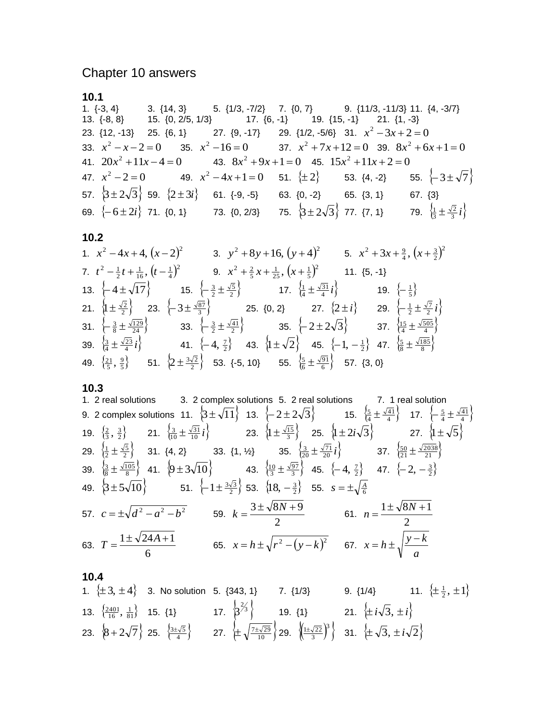# Chapter 10 answers

### **10.1**

1. {-3, 4} 3. {14, 3} 5. {1/3, -7/2} 7. {0, 7} 9. {11/3, -11/3} 11. {4, -3/7} 13. {-8, 8} 15. {0, 2/5, 1/3} 17. {6, -1} 19. {15, -1} 21. {1, -3} 23.  $\{12, -13\}$  25.  $\{6, 1\}$  27.  $\{9, -17\}$  29.  $\{1/2, -5/6\}$  31.  $x^2 - 3x + 2 = 0$ 33.  $x^2 - x - 2 = 0$  35.  $x^2 - 16 = 0$  37.  $x^2 + 7x + 12 = 0$  39.  $8x^2 + 6x + 1 = 0$ 41.  $20x^2 + 11x - 4 = 0$ <br>43.  $8x^2 + 9x + 1 = 0$ <br>45.  $15x^2 + 11x + 2 = 0$ 47.  $x^2 - 2 = 0$  49.  $x^2 - 4x + 1 = 0$  51.  $\{\pm 2\}$  53.  $\{4, -2\}$  55. 55.  $\{-3\pm\sqrt{7}\}$ 57.  $\left\{3\pm2\sqrt{3}\right\}$  59.  $\left\{2\pm3i\right\}$  61. {-9, -5} 63. {0, -2} 65. {3, 1} 67. {3} 69.  $\{-6\pm2i\}$  71. {0, 1} 73. {0, 2/3} 75.  $\left\{3\pm2\sqrt{3}\right\}$  77. {7, 1} 79.  $\left\{\frac{1}{3}\pm\frac{\sqrt{2}}{3}i\right\}$ 

## **10.2**

1. 
$$
x^2 - 4x + 4
$$
,  $(x - 2)^2$   
\n2.  $t^2 - \frac{1}{2}t + \frac{1}{16}$ ,  $(t - \frac{1}{4})^2$   
\n3.  $y^2 + 8y + 16$ ,  $(y + 4)^2$   
\n4.  $(x + \frac{3}{2})^2$   
\n5.  $x^2 + 3x + \frac{9}{4}$ ,  $(x + \frac{3}{2})^2$   
\n6.  $x^2 + 3x + \frac{9}{4}$ ,  $(x + \frac{3}{2})^2$   
\n7.  $t^2 - \frac{1}{2}t + \frac{1}{16}$ ,  $(t - \frac{1}{4})^2$   
\n9.  $x^2 + \frac{2}{5}x + \frac{1}{25}$ ,  $(x + \frac{1}{5})^2$   
\n11. {5, -1}  
\n12.  $\left\{1 \pm \frac{\sqrt{2}}{2}\right\}$   
\n23.  $\left\{-3 \pm \frac{\sqrt{87}}{3}\right\}$   
\n25. {0, 2}  
\n27.  $\left\{2 \pm i\right\}$   
\n29.  $\left\{-\frac{1}{2} \pm \frac{\sqrt{7}}{2}i\right\}$   
\n31.  $\left\{\frac{3}{8} \pm \frac{\sqrt{129}}{24}\right\}$   
\n33.  $\left\{-\frac{3}{2} \pm \frac{\sqrt{41}}{2}\right\}$   
\n35.  $\left\{-2 \pm 2\sqrt{3}\right\}$   
\n37.  $\left\{\frac{15}{4} \pm \frac{\sqrt{505}}{4}\right\}$   
\n39.  $\left\{\frac{3}{4} \pm \frac{\sqrt{23}}{4}i\right\}$   
\n41.  $\left\{-4, \frac{7}{2}\right\}$   
\n43.  $\left\{1 \pm \sqrt{2}\right\}$   
\n45.  $\left\{-1, -\frac{1}{2}\right\}$   
\n47.  $\left\{\frac{5}{8} \pm \frac{\sqrt{185}}{8}\right\}$   
\n49.  $\left\{\frac{21}{5}, \$ 

#### **10.3**

1. 2 real solutions 3. 2 complex solutions 5. 2 real solutions 7. 1 real solution  
\n9. 2 complex solutions 11. 
$$
\{3 \pm \sqrt{11}\}
$$
 13.  $\{-2 \pm 2\sqrt{3}\}$  15.  $\{\frac{5}{4} \pm \frac{\sqrt{41}}{4}\}$  17.  $\{-\frac{5}{4} \pm \frac{\sqrt{41}}{4}\}$   
\n19.  $\{\frac{2}{3}, \frac{3}{2}\}$  21.  $\{\frac{3}{10} \pm \frac{\sqrt{31}}{10}i\}$  23.  $\{1 \pm \frac{\sqrt{15}}{3}\}$  25.  $\{1 \pm 2i\sqrt{3}\}$  27.  $\{1 \pm \sqrt{5}\}$   
\n29.  $\{\frac{1}{2} \pm \frac{\sqrt{5}}{2}\}$  31. {4, 2} 33. {1, 12} 35.  $\{\frac{1}{3} \pm \frac{\sqrt{71}}{20}i\}$  37.  $\{\frac{50}{21} \pm \frac{\sqrt{2038}}{21}\}$   
\n39.  $\{\frac{1}{8} \pm \frac{\sqrt{105}}{8}\}$  41.  $\{9 \pm 3\sqrt{10}\}$  43.  $\{\frac{1}{3} \pm \frac{\sqrt{97}}{3}\}$  45.  $\{-4, \frac{7}{2}\}$  47.  $\{-2, -\frac{3}{2}\}$   
\n49.  $\{3 \pm 5\sqrt{10}\}$  51.  $\{-1 \pm \frac{3\sqrt{3}}{2}\}$  53.  $\{18, -\frac{3}{2}\}$  55.  $s = \pm \sqrt{\frac{A}{6}}$   
\n57.  $c = \pm \sqrt{d^2 - a^2 - b^2}$  59.  $k = \frac{3 \pm \sqrt{8N + 9}}{2}$  61.  $n = \frac{1 \pm \sqrt{8N + 1}}{2}$   
\n63.  $T = \frac{1 \pm \sqrt{24A + 1}}{6}$  65.  $x = h \pm \sqrt{r^2 - (y - k)^2}$  67.  $x = h \pm \sqrt{\frac{y - k$ 

#### **10.4**

1. 
$$
\{\pm 3, \pm 4\}
$$
 3. No solution 5. {343, 1} 7. {1/3} 9. {1/4} 11.  $\{\pm \frac{1}{2}, \pm 1\}$   
13.  $\{\frac{2401}{16}, \frac{1}{81}\}$  15. {1} 17.  $\{\frac{3}{3}\}$  19. {1} 21.  $\{\pm i\sqrt{3}, \pm i\}$   
23.  $\{8 + 2\sqrt{7}\}$  25.  $\{\frac{3\pm\sqrt{5}}{4}\}$  27.  $\{\pm \sqrt{\frac{7\pm\sqrt{29}}{10}}\}$  29.  $\{(\frac{1\pm\sqrt{22}}{3})^3\}$  31.  $\{\pm \sqrt{3}, \pm i\sqrt{2}\}$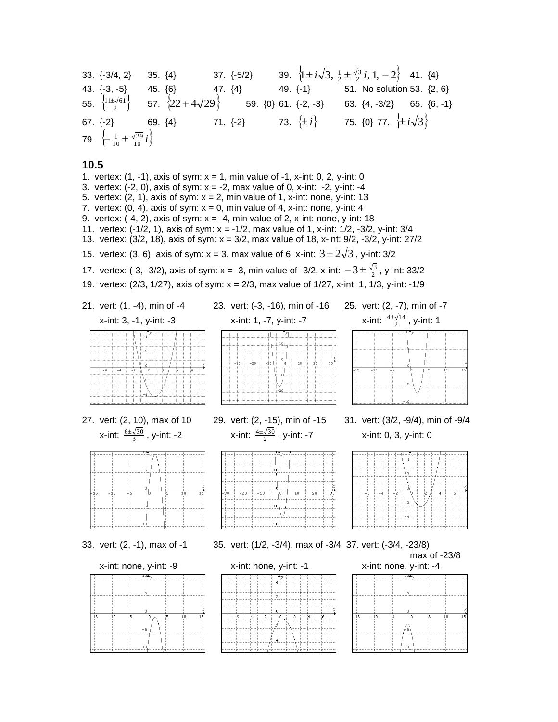33.  $\{-3/4, 2\}$  35.  $\{4\}$  37.  $\{-5/2\}$  39.  $\left\{\frac{1 \pm i \sqrt{3}, \frac{1}{2} \pm \frac{\sqrt{3}}{2} i, 1, -2\right\}$  41.  $\{4\}$ 43. {-3, -5} 45. {6} 47. {4} 49. {-1} 51. No solution 53. {2, 6} 55.  $\left\{\frac{11\pm\sqrt{61}}{2}\right\}$  57.  $\left\{22+4\sqrt{29}\right\}$  59. {0} 61. {-2, -3} 63. {4, -3/2} 65. {6, -1} 67. {-2} 69. {4} 71. {-2} 73. *i* 75. {0} 77. *i* 3 **79.**  $\left\{\frac{1}{10} \pm \frac{\sqrt{29}}{10} i\right\}$ 

**10.5** 1. vertex:  $(1, -1)$ , axis of sym:  $x = 1$ , min value of  $-1$ , x-int: 0, 2, y-int: 0 3. vertex:  $(-2, 0)$ , axis of sym:  $x = -2$ , max value of 0, x-int:  $-2$ , y-int:  $-4$ 5. vertex:  $(2, 1)$ , axis of sym:  $x = 2$ , min value of 1, x-int: none, y-int: 13 7. vertex:  $(0, 4)$ , axis of sym:  $x = 0$ , min value of 4, x-int: none, y-int: 4 9. vertex:  $(-4, 2)$ , axis of sym:  $x = -4$ , min value of 2, x-int: none, y-int: 18 11. vertex: (-1/2, 1), axis of sym: x = -1/2, max value of 1, x-int: 1/2, -3/2, y-int: 3/4 13. vertex: (3/2, 18), axis of sym: x = 3/2, max value of 18, x-int: 9/2, -3/2, y-int: 27/2 15. vertex: (3, 6), axis of sym: x = 3, max value of 6, x-int:  $3\pm2\sqrt{3}$  , y-int: 3/2 17. vertex: (-3, -3/2), axis of sym: x = -3, min value of -3/2, x-int:  $-3\pm\frac{\sqrt{3}}{2}$ , y-int: 33/2 19. vertex: (2/3, 1/27), axis of sym: x = 2/3, max value of 1/27, x-int: 1, 1/3, y-int: -1/9 21. vert: (1, -4), min of -4 23. vert: (-3, -16), min of -16 25. vert: (2, -7), min of -7  $\frac{4\pm\sqrt{14}}{2}$ , y-int: 1 x-int: 3, -1, y-int: -3 x-int: 1, -7, y-int: -7 x-int: 2 27. vert: (2, 10), max of 10 29. vert: (2, -15), min of -15 31. vert: (3/2, -9/4), min of -9/4  $\frac{6\pm\sqrt{30}}{3}$ , y-int: -2 x-int: 4 $\pm \sqrt{30}$ x-int:  $\frac{6\pm\sqrt{3}}{3}$ x-int: 0, 3, y-int: 0 2  $-2($ 33. vert: (2, -1), max of -1 35. vert: (1/2, -3/4), max of -3/4 37. vert: (-3/4, -23/8) max of -23/8 x-int: none, y-int: -9 x-int: none, y-int: -1 x-int: none, y-int: -4



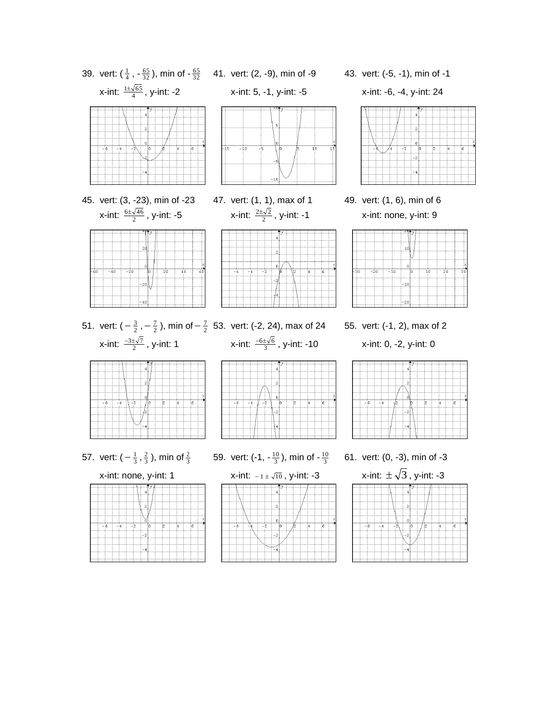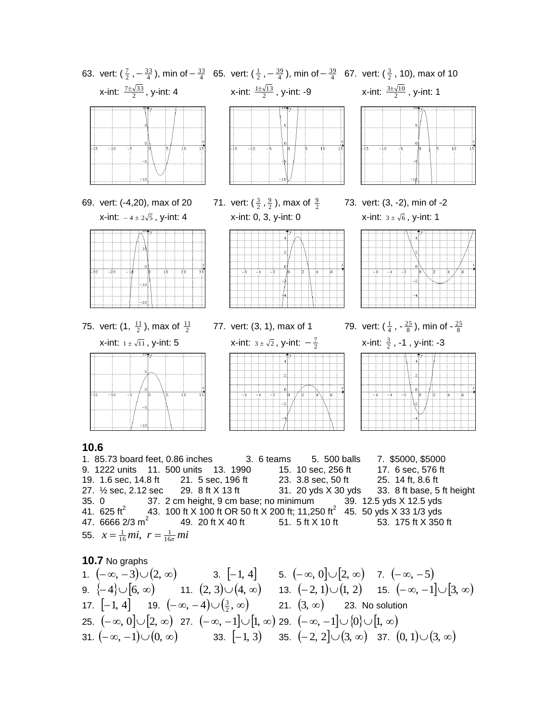

35. 0 37. 2 cm height, 9 cm base; no minimum 39. 12.5 yds X 12.5 yds 41. 625 ft<sup>2</sup> 43. 100 ft X 100 ft OR 50 ft X 200 ft; 11,250 ft<sup>2</sup> 45. 50 yds X 33 1/3 yds 47. 6666  $2/3$  m<sup>2</sup> 49. 20 ft X 40 ft 51. 5 ft X 10 ft 53. 175 ft X 350 ft 55.  $x = \frac{1}{16}mi$ ,  $r = \frac{1}{16\pi}mi$ 

**10.7** No graphs

1. 
$$
(-\infty, -3) \cup (2, \infty)
$$
  
\n3.  $[-1, 4]$   
\n5.  $(-\infty, 0] \cup [2, \infty)$   
\n7.  $(-\infty, -5)$   
\n9.  $\{-4\} \cup [6, \infty)$   
\n11.  $(2, 3) \cup (4, \infty)$   
\n13.  $(-2, 1) \cup (1, 2)$   
\n15.  $(-\infty, -1] \cup [3, \infty)$   
\n17.  $[-1, 4]$   
\n19.  $(-\infty, -4) \cup (\frac{3}{2}, \infty)$   
\n21.  $(3, \infty)$   
\n23. No solution  
\n25.  $(-\infty, 0] \cup [2, \infty)$   
\n27.  $(-\infty, -1] \cup [1, \infty)$   
\n29.  $(-\infty, -1] \cup \{0\} \cup [1, \infty)$   
\n31.  $(-\infty, -1) \cup (0, \infty)$   
\n33.  $[-1, 3)$   
\n35.  $(-2, 2] \cup (3, \infty)$   
\n37.  $(0, 1) \cup (3, \infty)$